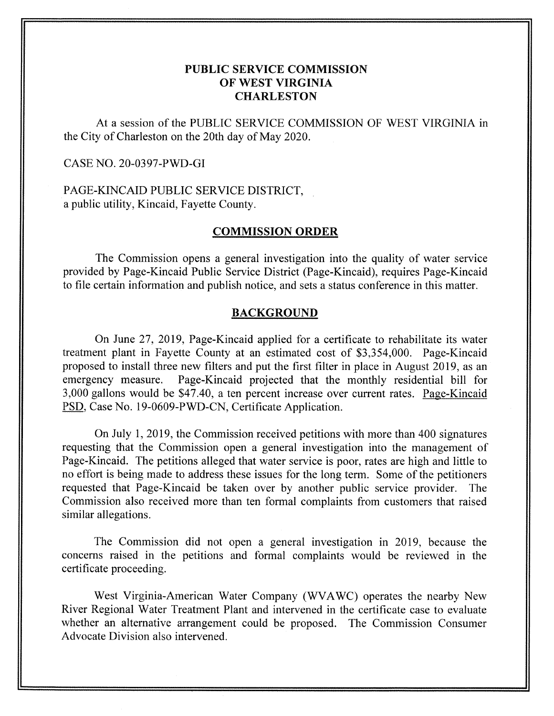# **PUBLIC SERVICE COMMISSION OF WEST VIRGINIA CHARLESTON**

At a session of the PUBLIC SERVICE COMMISSION OF WEST VIRGINIA in the City of Charleston on the 20th day of May 2020.

#### CASE NO. 20-0397-PWD-GI

PAGE-KINCAID PUBLIC SERVICE DISTRICT, a public utility, Kincaid, Fayette County.

# **COMMISSION ORDER**

The Commission opens a general investigation into the quality of water service provided by Page-Kincaid Public Service District (Page-Kincaid), requires Page-Kincaid to file certain information and publish notice, and sets a status conference in this matter.

#### **BACKGROUND**

On June 27, 2019, Page-Kincaid applied for a certificate to rehabilitate its water treatment plant in Fayette County at an estimated cost of \$3,354,000. Page-Kincaid proposed to install three new filters and put the first filter in place in August 2019, as an emergency measure. Page-Kincaid projected that the monthly residential bill for 3,000 gallons would be \$47.40, a ten percent increase over current rates. Page-Kincaid PSD, Case No. 19-0609-PWD-CN, Certificate Application.

On July 1,2019, the Commission received petitions with more than 400 signatures requesting that the Commission open a general investigation into the management of Page-Kincaid. The petitions alleged that water service is poor, rates are high and little to no effort is being made to address these issues for the long term. Some of the petitioners requested that Page-Kincaid be taken over by another public service provider. The Commission also received more than ten formal complaints from customers that raised similar allegations.

The Commission did not open a general investigation in 2019, because the concerns raised in the petitions and formal complaints would be reviewed in the certificate proceeding.

West Virginia-American Water Company (WVAWC) operates the nearby New River Regional Water Treatment Plant and intervened in the certificate case to evaluate whether an alternative arrangement could be proposed. The Commission Consumer Advocate Division also intervened.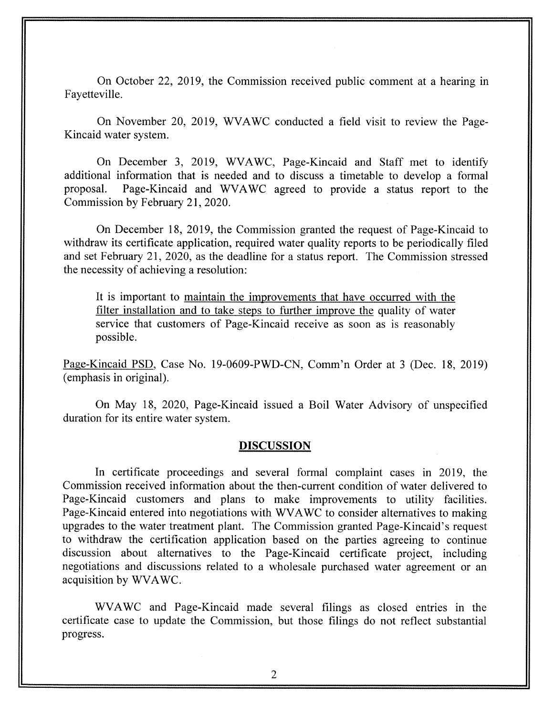On October 22, 2019, the Commission received public comment at a hearing in Fayetteville.

On November 20, 2019, WVAWC conducted a field visit to review the Page-Kincaid water system.

On December 3, 2019, WVAWC, Page-Kincaid and Staff met to identify additional information that is needed and to discuss a timetable to develop a formal proposal. Page-Kincaid and WVAWC agreed to provide a status report to the Commission by February 21,2020.

On December 18, 2019, the Commission granted the request of Page-Kincaid to withdraw its certificate application, required water quality reports to be periodically filed and set February 21, 2020, as the deadline for a status report. The Commission stressed the necessity of achieving a resolution:

It is important to maintain the improvements that have occurred with the filter installation and to take steps to further improve the quality of water service that customers of Page-Kincaid receive as soon as is reasonably possible.

Page-Kincaid PSD, Case No. 19-0609-PWD-CN, Comm'n Order at 3 (Dec. 18, 2019) (emphasis in original).

On May 18, 2020, Page-Kincaid issued a Boil Water Advisory of unspecified duration for its entire water system.

#### **DISCUSSION**

In certificate proceedings and several formal complaint cases in 2019, the Commission received information about the then-current condition of water delivered to Page-Kincaid customers and plans to make improvements to utility facilities. Page-Kincaid entered into negotiations with WVAWC to consider alternatives to making upgrades to the water treatment plant. The Commission granted Page-Kincaid's request to withdraw the certification application based on the parties agreeing to continue discussion about alternatives to the Page-Kincaid certificate project, including negotiations and discussions related to a wholesale purchased water agreement or an acquisition by WVAWC.

WVAWC and Page-Kincaid made several filings as closed entries in the certificate case to update the Commission, but those filings do not reflect substantial progress.

*2*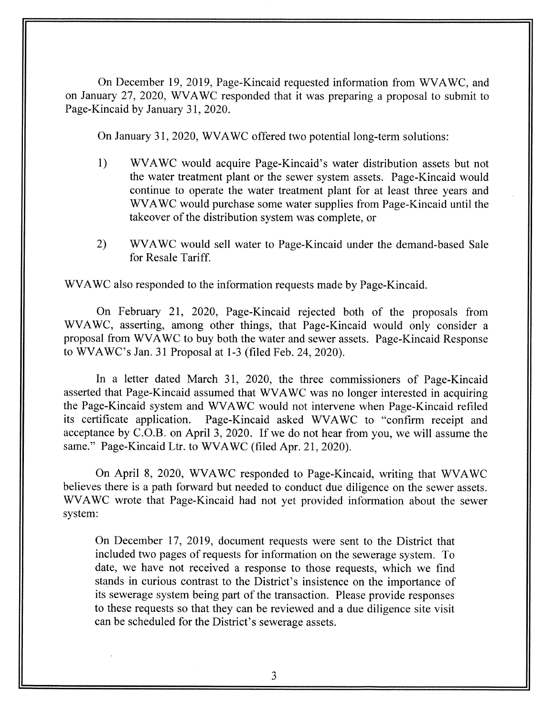On December 19, 2019, Page-Kincaid requested information from WVAWC, and on January 27, 2020, WVAWC responded that it was preparing a proposal to submit to Page-Kincaid by January 31, 2020.

On January 3 I, 2020, WVAWC offered two potential long-term solutions:

- 1) WVAWC would acquire Page-Kincaid's water distribution assets but not the water treatment plant or the sewer system assets. Page-Kincaid would continue to operate the water treatment plant for at least three years and WVAWC would purchase some water supplies from Page-Kincaid until the takeover of the distribution system was complete, or
- 2) WVAWC would sell water to Page-Kincaid under the demand-based Sale for Resale Tariff.

WVAWC also responded to the information requests made by Page-Kincaid.

On February 21, 2020, Page-Kincaid rejected both of the proposals from WVAWC, asserting, among other things, that Page-Kincaid would only consider a proposal from WVAWC to buy both the water and sewer assets. Page-Kincaid Response to WVAWC's Jan. 31 Proposal at 1-3 (filed Feb. 24, 2020).

In a letter dated March 31, 2020, the three commissioners of Page-Kincaid asserted that Page-Kincaid assumed that WVAWC was no longer interested in acquiring the Page-Kincaid system and WVAWC would not intervene when Page-Kincaid refiled its certificate application. Page-Kincaid asked WVAWC to "confirm receipt and acceptance by C.O.B. on April 3, 2020. If we do not hear from you, we will assume the same." Page-Kincaid Ltr. to WVAWC (filed Apr. 21, 2020).

On April 8, 2020, WVAWC responded to Page-Kincaid, writing that WVAWC believes there is a path forward but needed to conduct due diligence on the sewer assets. WVAWC wrote that Page-Kincaid had not yet provided information about the sewer system:

On December 17, 2019, document requests were sent to the District that included two pages of requests for information on the sewerage system. To date, we have not received a response to those requests, which we find stands in curious contrast to the District's insistence on the importance of its sewerage system being part of the transaction. Please provide responses to these requests so that they can be reviewed and a due diligence site visit can be scheduled for the District's sewerage assets.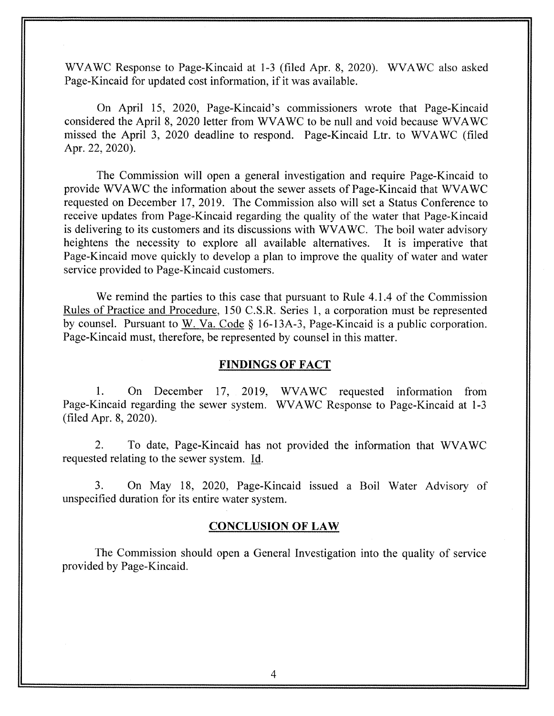WVAWC Response to Page-Kincaid at 1-3 (filed Apr. 8, 2020). WVAWC also asked Page-Kincaid for updated cost information, if it was available.

On April 15, 2020, Page-Kincaid's commissioners wrote that Page-Kincaid considered the April 8, 2020 letter from WVAWC to be null and void because WVAWC missed the April 3, 2020 deadline to respond. Page-Kincaid Ltr. to WVAWC (filed Apr. 22, 2020).

The Commission will open a general investigation and require Page-Kincaid to provide WVAWC the information about the sewer assets of Page-Kincaid that WVAWC requested on December 17, 2019. The Commission also will set a Status Conference to receive updates from Page-Kincaid regarding the quality of the water that Page-Kincaid is delivering to its customers and its discussions with WVAWC. The boil water advisory heightens the necessity to explore all available alternatives. It is imperative that Page-Kincaid move quickly to develop a plan to improve the quality of water and water service provided to Page-Kincaid customers.

We remind the parties to this case that pursuant to Rule 4.1.4 of the Commission Rules of Practice and Procedure, 150 C.S.R. Series 1, a corporation must be represented by counsel. Pursuant to W. Va. Code *5* 16- 13A-3, Page-Kincaid is a public corporation. Page-Kincaid must, therefore, be represented by counsel in this matter.

#### **FINDINGS OF FACT**

1. On December 17, 2019, WVAWC requested information from Page-Kincaid regarding the sewer system. WVAWC Response to Page-Kincaid at 1-3 (filed Apr. 8,2020).

2. To date, Page-Kincaid has not provided the information that WVAWC requested relating to the sewer system. Id.

3. On May 18, 2020, Page-Kincaid issued a Boil Water Advisory of unspecified duration for its entire water system.

#### **CONCLUSION OF LAW**

The Commission should open a General Investigation into the quality of service provided by Page-Kincaid.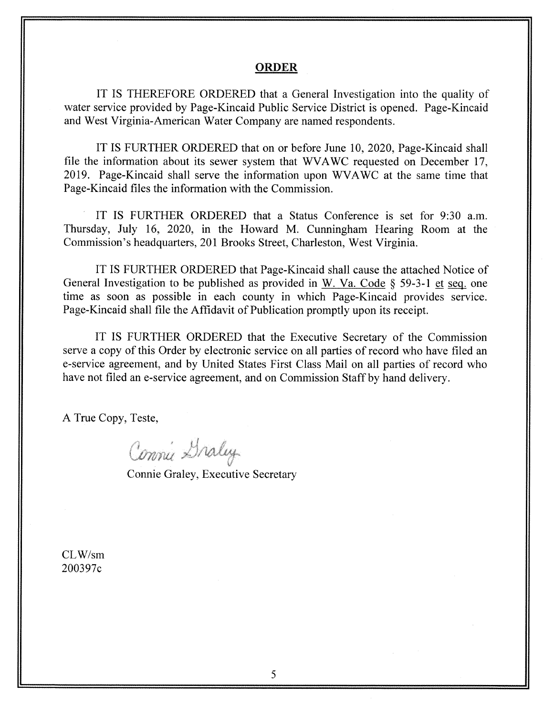#### **ORDER**

IT IS THEREFORE ORDERED that a General Investigation into the quality of water service provided by Page-Kincaid Public Service District is opened. Page-Kincaid and West Virginia-American Water Company are named respondents.

IT IS FURTHER ORDERED that on or before June 10, 2020, Page-Kincaid shall file the information about its sewer system that WAWC requested on December 17, 2019. Page-Kincaid shall serve the information upon WVAWC at the same time that Page-Kincaid files the information with the Commission.

IT IS FURTHER ORDERED that a Status Conference is set for 9:30 a.m. Thursday, July 16, 2020, in the Howard M. Cunningham Hearing Room at the Commission's headquarters, 201 Brooks Street, Charleston, West Virginia.

IT IS FURTHER ORDERED that Page-Kincaid shall cause the attached Notice of General Investigation to be published as provided in W. Va. Code *5* 59-3-1 et seq. one time as soon as possible in each county in which Page-Kincaid provides service. Page-Kincaid shall file the Affidavit of Publication promptly upon its receipt.

IT IS FURTHER ORDERED that the Executive Secretary of the Commission serve a copy of this Order by electronic service on all parties of record who have filed an e-service agreement, and by United States First Class Mail on all parties of record who have not filed an e-service agreement, and on Commission Staff by hand delivery.

A True Copy, Teste,

Commu Graley

Connie Graley, Executive Secretary

CLW/sm 200397~